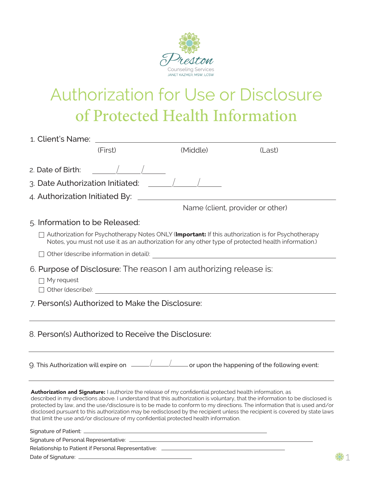

## Authorization for Use or Disclosure of Protected Health Information

|                                  | 1. Client's Name: The Client of the Second Second Second Second Second Second Second Second Second Second Second Second Second Second Second Second Second Second Second Second Second Second Second Second Second Second Seco |                                                                                                                                                                                                   |                                                                                                                                                                                                                                                                                                                                                                                        |
|----------------------------------|--------------------------------------------------------------------------------------------------------------------------------------------------------------------------------------------------------------------------------|---------------------------------------------------------------------------------------------------------------------------------------------------------------------------------------------------|----------------------------------------------------------------------------------------------------------------------------------------------------------------------------------------------------------------------------------------------------------------------------------------------------------------------------------------------------------------------------------------|
|                                  | (First)                                                                                                                                                                                                                        | (Middle)                                                                                                                                                                                          | (Last)                                                                                                                                                                                                                                                                                                                                                                                 |
| 2. Date of Birth:                |                                                                                                                                                                                                                                |                                                                                                                                                                                                   |                                                                                                                                                                                                                                                                                                                                                                                        |
|                                  | 3. Date Authorization Initiated: $\Box$                                                                                                                                                                                        |                                                                                                                                                                                                   |                                                                                                                                                                                                                                                                                                                                                                                        |
| 4. Authorization Initiated By: _ |                                                                                                                                                                                                                                |                                                                                                                                                                                                   |                                                                                                                                                                                                                                                                                                                                                                                        |
|                                  |                                                                                                                                                                                                                                |                                                                                                                                                                                                   | Name (client, provider or other)                                                                                                                                                                                                                                                                                                                                                       |
| 5. Information to be Released:   |                                                                                                                                                                                                                                |                                                                                                                                                                                                   |                                                                                                                                                                                                                                                                                                                                                                                        |
|                                  |                                                                                                                                                                                                                                |                                                                                                                                                                                                   | Authorization for Psychotherapy Notes ONLY (Important: If this authorization is for Psychotherapy<br>Notes, you must not use it as an authorization for any other type of protected health information.)                                                                                                                                                                               |
|                                  |                                                                                                                                                                                                                                |                                                                                                                                                                                                   |                                                                                                                                                                                                                                                                                                                                                                                        |
| $\Box$ My request                |                                                                                                                                                                                                                                | 6. Purpose of Disclosure: The reason I am authorizing release is:                                                                                                                                 |                                                                                                                                                                                                                                                                                                                                                                                        |
|                                  | 7. Person(s) Authorized to Make the Disclosure:                                                                                                                                                                                |                                                                                                                                                                                                   |                                                                                                                                                                                                                                                                                                                                                                                        |
|                                  | 8. Person(s) Authorized to Receive the Disclosure:                                                                                                                                                                             |                                                                                                                                                                                                   |                                                                                                                                                                                                                                                                                                                                                                                        |
|                                  |                                                                                                                                                                                                                                |                                                                                                                                                                                                   | 9. This Authorization will expire on $\frac{1}{\sqrt{1-\frac{1}{1-\frac{1}{1-\frac{1}{1-\frac{1}{1-\frac{1}{1-\frac{1}{1-\frac{1}{1-\frac{1}{1-\frac{1}{1-\frac{1}{1-\frac{1}{1-\frac{1}{1-\frac{1}{1-\frac{1}{1-\frac{1}{1-\frac{1}{1-\frac{1}{1-\frac{1}{1-\frac{1}{1-\frac{1}{1-\frac{1}{1-\frac{1}{1-\frac{1}{1-\frac{1}{1-\frac{1}{1-\frac{1}{1-\frac{1}{1-\frac{1}{1-\frac{1}{1$ |
|                                  |                                                                                                                                                                                                                                | Authorization and Signature: I authorize the release of my confidential protected health information, as<br>that limit the use and/or disclosure of my confidential protected health information. | described in my directions above. I understand that this authorization is voluntary, that the information to be disclosed is<br>protected by law, and the use/disclosure is to be made to conform to my directions. The information that is used and/or<br>disclosed pursuant to this authorization may be redisclosed by the recipient unless the recipient is covered by state laws  |
|                                  |                                                                                                                                                                                                                                |                                                                                                                                                                                                   |                                                                                                                                                                                                                                                                                                                                                                                        |
|                                  |                                                                                                                                                                                                                                |                                                                                                                                                                                                   | Signature of Personal Representative: Law and Content of Personal Representative:                                                                                                                                                                                                                                                                                                      |
|                                  |                                                                                                                                                                                                                                | Relationship to Patient if Personal Representative: _____________________________                                                                                                                 |                                                                                                                                                                                                                                                                                                                                                                                        |
|                                  |                                                                                                                                                                                                                                |                                                                                                                                                                                                   |                                                                                                                                                                                                                                                                                                                                                                                        |